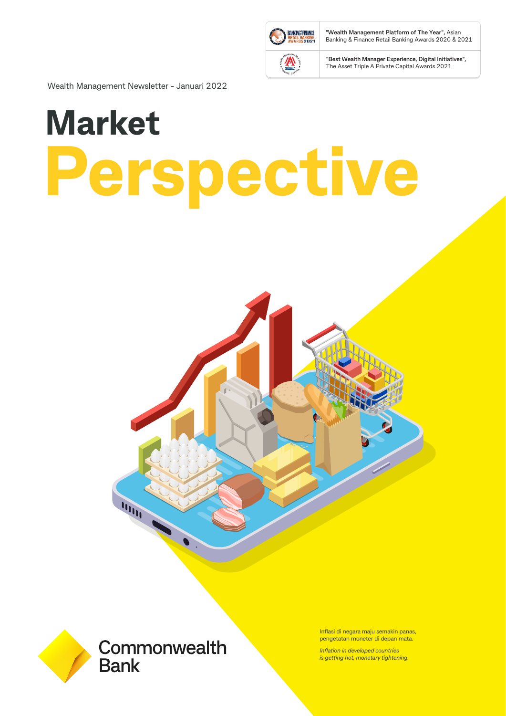

**"Wealth Management Platform of The Year",** Asian Banking & Finance Retail Banking Awards 2020 & 2021

**"Best Wealth Manager Experience, Digital Initiatives",**  The Asset Triple A Private Capital Awards 2021

Wealth Management Newsletter - Januari 2022

# **Market Perspective**





Inflasi di negara maju semakin panas, pengetatan moneter di depan mata.

*Inflation in developed countries is getting hot, monetary tightening.*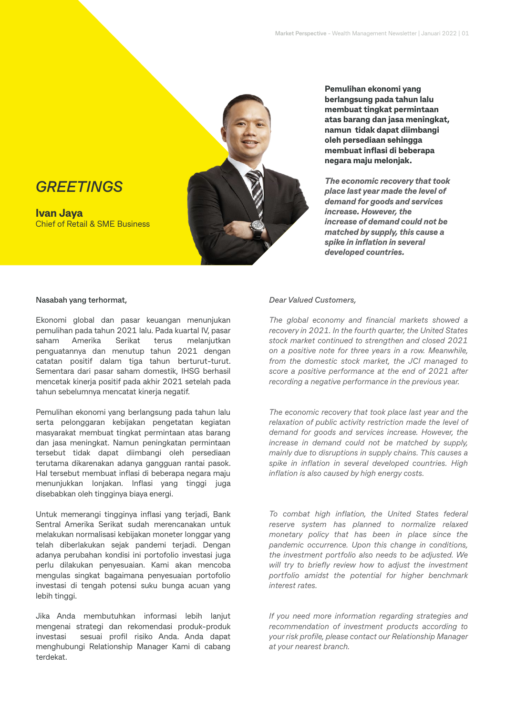# *GREETINGS*

**Ivan Jaya** Chief of Retail & SME Business



**Pemulihan ekonomi yang berlangsung pada tahun lalu membuat tingkat permintaan atas barang dan jasa meningkat, namun tidak dapat diimbangi oleh persediaan sehingga membuat inflasi di beberapa negara maju melonjak.**

*The economic recovery that took place last year made the level of demand for goods and services increase. However, the increase of demand could not be matched by supply, this cause a spike in inflation in several developed countries.*

#### **Nasabah yang terhormat,**

Ekonomi global dan pasar keuangan menunjukan pemulihan pada tahun 2021 lalu. Pada kuartal IV, pasar saham Amerika Serikat terus melanjutkan penguatannya dan menutup tahun 2021 dengan catatan positif dalam tiga tahun berturut-turut. Sementara dari pasar saham domestik, IHSG berhasil mencetak kinerja positif pada akhir 2021 setelah pada tahun sebelumnya mencatat kinerja negatif.

Pemulihan ekonomi yang berlangsung pada tahun lalu serta pelonggaran kebijakan pengetatan kegiatan masyarakat membuat tingkat permintaan atas barang dan jasa meningkat. Namun peningkatan permintaan tersebut tidak dapat diimbangi oleh persediaan terutama dikarenakan adanya gangguan rantai pasok. Hal tersebut membuat inflasi di beberapa negara maju menunjukkan lonjakan. Inflasi yang tinggi juga disebabkan oleh tingginya biaya energi.

Untuk memerangi tingginya inflasi yang terjadi, Bank Sentral Amerika Serikat sudah merencanakan untuk melakukan normalisasi kebijakan moneter longgar yang telah diberlakukan sejak pandemi terjadi. Dengan adanya perubahan kondisi ini portofolio investasi juga perlu dilakukan penyesuaian. Kami akan mencoba mengulas singkat bagaimana penyesuaian portofolio investasi di tengah potensi suku bunga acuan yang lebih tinggi.

Jika Anda membutuhkan informasi lebih lanjut mengenai strategi dan rekomendasi produk-produk investasi sesuai profil risiko Anda. Anda dapat menghubungi Relationship Manager Kami di cabang terdekat.

#### *Dear Valued Customers,*

*The global economy and financial markets showed a recovery in 2021. In the fourth quarter, the United States stock market continued to strengthen and closed 2021 on a positive note for three years in a row. Meanwhile, from the domestic stock market, the JCI managed to score a positive performance at the end of 2021 after recording a negative performance in the previous year.*

*The economic recovery that took place last year and the relaxation of public activity restriction made the level of demand for goods and services increase. However, the increase in demand could not be matched by supply, mainly due to disruptions in supply chains. This causes a spike in inflation in several developed countries. High inflation is also caused by high energy costs.*

*To combat high inflation, the United States federal reserve system has planned to normalize relaxed monetary policy that has been in place since the pandemic occurrence. Upon this change in conditions, the investment portfolio also needs to be adjusted. We will try to briefly review how to adjust the investment portfolio amidst the potential for higher benchmark interest rates.*

*If you need more information regarding strategies and recommendation of investment products according to your risk profile, please contact our Relationship Manager at your nearest branch.*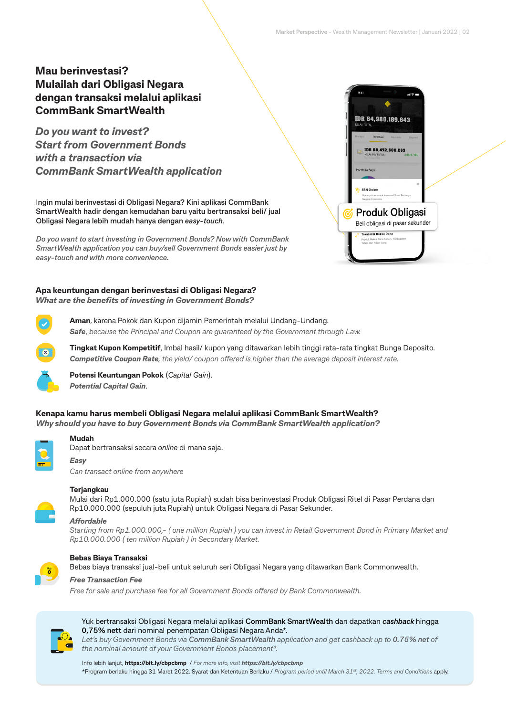#### **Mau berinvestasi? Mulailah dari Obligasi Negara dengan transaksi melalui aplikasi CommBank SmartWealth**

*Do you want to invest? Start from Government Bonds with a transaction via CommBank SmartWealth application*

I**ngin mulai berinvestasi di Obligasi Negara? Kini aplikasi CommBank SmartWealth hadir dengan kemudahan baru yaitu bertransaksi beli/ jual Obligasi Negara lebih mudah hanya dengan** *easy-touch*.

*Do you want to start investing in Government Bonds? Now with CommBank SmartWealth application you can buy/sell Government Bonds easier just by easy-touch and with more convenience.* 

#### **Apa keuntungan dengan berinvestasi di Obligasi Negara?** *What are the benefits of investing in Government Bonds?*



**Aman**, karena Pokok dan Kupon dijamin Pemerintah melalui Undang-Undang. *Safe*, *because the Principal and Coupon are guaranteed by the Government through Law.*



**Tingkat Kupon Kompetitif**, Imbal hasil/ kupon yang ditawarkan lebih tinggi rata-rata tingkat Bunga Deposito. **Competitive Coupon Rate**, the yield/ coupon offered is higher than the average deposit interest rate.



**Potensi Keuntungan Pokok** (*Capital Gain*). *Potential Capital Gain*.

Dapat bertransaksi secara *online* di mana saja.

**Kenapa kamu harus membeli Obligasi Negara melalui aplikasi CommBank SmartWealth?** *Why should you have to buy Government Bonds via CommBank SmartWealth application?*

*Easy*

*Can transact online from anywhere*

#### **Terjangkau**

**Mudah**

Mulai dari Rp1.000.000 (satu juta Rupiah) sudah bisa berinvestasi Produk Obligasi Ritel di Pasar Perdana dan Rp10.000.000 (sepuluh juta Rupiah) untuk Obligasi Negara di Pasar Sekunder.

#### Affordable

*Starting from Rp1.000.000,- ( one million Rupiah ) you can invest in Retail Government Bond in Primary Market and Rp10.000.000 ( ten million Rupiah ) in Secondary Market.*



#### **Bebas Biaya Transaksi**

Bebas biaya transaksi jual-beli untuk seluruh seri Obligasi Negara yang ditawarkan Bank Commonwealth.

#### *Free Transaction Fee*

Free for sale and purchase fee for all Government Bonds offered by Bank Commonwealth.



Yuk bertransaksi Obligasi Negara melalui aplikasi **CommBank SmartWealth** dan dapatkan *cashback* hingga **0,75% nett** dari nominal penempatan Obligasi Negara Anda\*.

*Let's buy Government Bonds via CommBank SmartWealth application and get cashback up to 0.75% net of the nominal amount of your Government Bonds placement\*.*

Info lebih lanjut, **https://bit.ly/cbpcbmp** / *For more info, visit https://bit.ly/cbpcbmp*  \*Program berlaku hingga 31 Maret 2022. Syarat dan Ketentuan Berlaku / *Program period until March 31st, 2022. Terms and Conditions* apply.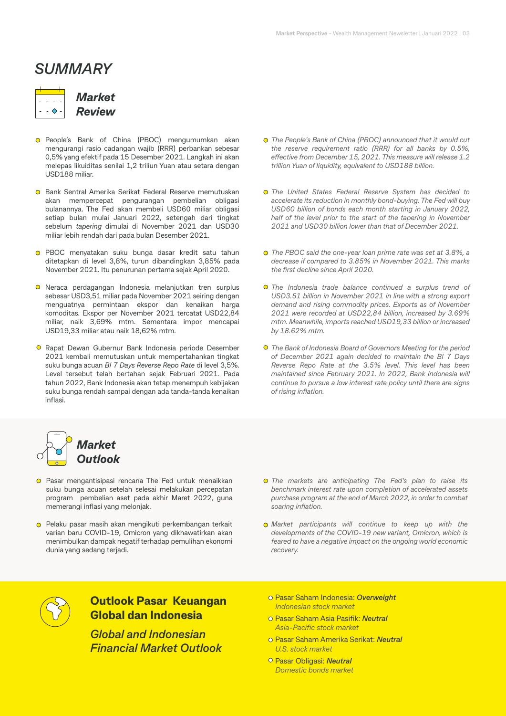# *SUMMARY*

*Market Review*

- **O** People's Bank of China (PBOC) mengumumkan akan mengurangi rasio cadangan wajib (RRR) perbankan sebesar 0,5% yang efektif pada 15 Desember 2021. Langkah ini akan melepas likuiditas senilai 1,2 triliun Yuan atau setara dengan USD188 miliar.
- **O** Bank Sentral Amerika Serikat Federal Reserve memutuskan akan mempercepat pengurangan pembelian obligasi bulanannya. The Fed akan membeli USD60 miliar obligasi setiap bulan mulai Januari 2022, setengah dari tingkat sebelum *tapering* dimulai di November 2021 dan USD30 miliar lebih rendah dari pada bulan Desember 2021.
- **o** PBOC menyatakan suku bunga dasar kredit satu tahun ditetapkan di level 3,8%, turun dibandingkan 3,85% pada November 2021. Itu penurunan pertama sejak April 2020.
- Neraca perdagangan Indonesia melanjutkan tren surplus sebesar USD3,51 miliar pada November 2021 seiring dengan menguatnya permintaan ekspor dan kenaikan harga komoditas. Ekspor per November 2021 tercatat USD22,84 miliar, naik 3,69% mtm. Sementara impor mencapai USD19,33 miliar atau naik 18,62% mtm.
- **O** Rapat Dewan Gubernur Bank Indonesia periode Desember 2021 kembali memutuskan untuk mempertahankan tingkat suku bunga acuan *BI 7 Days Reverse Repo Rate* di level 3,5%. Level tersebut telah bertahan sejak Februari 2021. Pada tahun 2022, Bank Indonesia akan tetap menempuh kebijakan suku bunga rendah sampai dengan ada tanda-tanda kenaikan inflasi.
- *The People's Bank of China (PBOC) announced that it would cut the reserve requirement ratio (RRR) for all banks by 0.5%,*  effective from December 15, 2021. This measure will release 1.2 *trillion Yuan of liquidity, equivalent to USD188 billion.*
- *The United States Federal Reserve System has decided to accelerate its reduction in monthly bond-buying. The Fed will buy USD60 billion of bonds each month starting in January 2022, half of the level prior to the start of the tapering in November 2021 and USD30 billion lower than that of December 2021.*
- *The PBOC said the one-year loan prime rate was set at 3.8%, a decrease if compared to 3.85% in November 2021. This marks the first decline since April 2020.*
- *The Indonesia trade balance continued a surplus trend of USD3.51 billion in November 2021 in line with a strong export demand and rising commodity prices. Exports as of November 2021 were recorded at USD22,84 billion, increased by 3.69% mtm. Meanwhile, imports reached USD19,33 billion or increased by 18.62% mtm.*
- *The Bank of Indonesia Board of Governors Meeting for the period of December 2021 again decided to maintain the BI 7 Days Reverse Repo Rate at the 3.5% level. This level has been maintained since February 2021. In 2022, Bank Indonesia will continue to pursue a low interest rate policy until there are signs of rising inflation.*



- Pasar mengantisipasi rencana The Fed untuk menaikkan suku bunga acuan setelah selesai melakukan percepatan program pembelian aset pada akhir Maret 2022, guna memerangi inflasi yang melonjak.
- Pelaku pasar masih akan mengikuti perkembangan terkait varian baru COVID-19, Omicron yang dikhawatirkan akan menimbulkan dampak negatif terhadap pemulihan ekonomi dunia yang sedang terjadi.
- *The markets are anticipating The Fed's plan to raise its benchmark interest rate upon completion of accelerated assets purchase program at the end of March 2022, in order to combat soaring inflation.*
- *Market participants will continue to keep up with the developments of the COVID-19 new variant, Omicron, which is feared to have a negative impact on the ongoing world economic recovery.*



#### **Outlook Pasar Keuangan Global dan Indonesia**

*Global and Indonesian Financial Market Outlook*

- Pasar Saham Indonesia: *Overweight Indonesian stock market*
- Pasar Saham Asia Pasifik: *Neutral Asia-Pacific stock market*
- Pasar Saham Amerika Serikat: *Neutral U.S. stock market*
- Pasar Obligasi: *Neutral Domestic bonds market*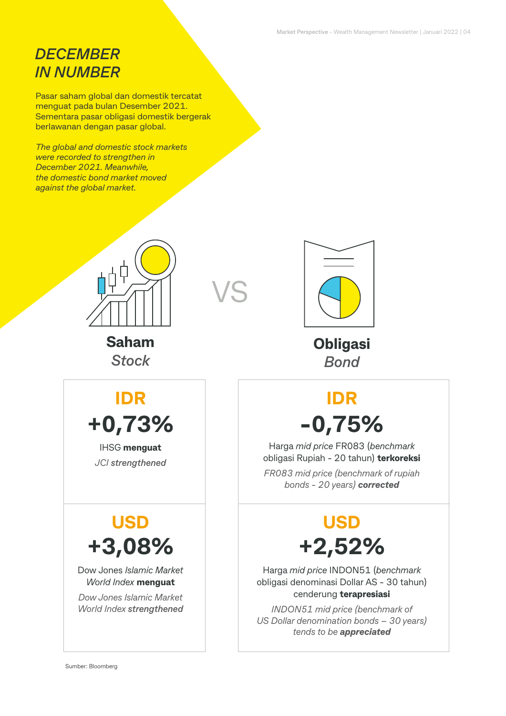# *DECEMBER IN NUMBER*

Pasar saham global dan domestik tercatat menguat pada bulan Desember 2021. Sementara pasar obligasi domestik bergerak berlawanan dengan pasar global.

*The global and domestic stock markets were recorded to strengthen in December 2021. Meanwhile, the domestic bond market moved against the global market.*



VS

**Saham** *Stock*



**Obligasi** *Bond*

# **IDR IDR +0,73% -0,75%**

Harga *mid price* FR083 (*benchmark*  obligasi Rupiah - 20 tahun) **terkoreksi**

*FR083 mid price (benchmark of rupiah bonds - 20 years) corrected*

# **USD USD +3,08% +2,52%**

Harga *mid price* INDON51 (*benchmark*  obligasi denominasi Dollar AS - 30 tahun) cenderung **terapresiasi**

*INDON51 mid price (benchmark of US Dollar denomination bonds – 30 years) tends to be appreciated*

# IHSG **menguat** *JCI strengthened*

Dow Jones *Islamic Market World Index* **menguat**

*Dow Jones Islamic Market World Index strengthened*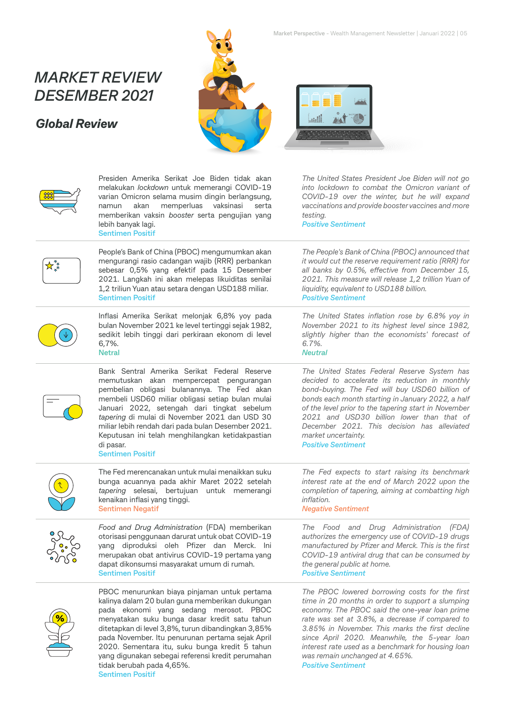# *MARKET REVIEW DESEMBER 2021*

### *Global Review*





|                                                | Presiden Amerika Serikat Joe Biden tidak akan<br>melakukan lockdown untuk memerangi COVID-19<br>varian Omicron selama musim dingin berlangsung,<br>memperluas<br>akan<br>vaksinasi<br>namun<br>serta<br>memberikan vaksin booster serta pengujian yang<br>lebih banyak lagi.<br><b>Sentimen Positif</b>                                                                                                                                      | The United States President Joe Biden will not go<br>into lockdown to combat the Omicron variant of<br>COVID-19 over the winter, but he will expand<br>vaccinations and provide booster vaccines and more<br>testing.<br><b>Positive Sentiment</b>                                                                                                                                                                              |
|------------------------------------------------|----------------------------------------------------------------------------------------------------------------------------------------------------------------------------------------------------------------------------------------------------------------------------------------------------------------------------------------------------------------------------------------------------------------------------------------------|---------------------------------------------------------------------------------------------------------------------------------------------------------------------------------------------------------------------------------------------------------------------------------------------------------------------------------------------------------------------------------------------------------------------------------|
|                                                | People's Bank of China (PBOC) mengumumkan akan<br>mengurangi rasio cadangan wajib (RRR) perbankan<br>sebesar 0,5% yang efektif pada 15 Desember<br>2021. Langkah ini akan melepas likuiditas senilai<br>1,2 triliun Yuan atau setara dengan USD188 miliar.<br><b>Sentimen Positif</b>                                                                                                                                                        | The People's Bank of China (PBOC) announced that<br>it would cut the reserve requirement ratio (RRR) for<br>all banks by 0.5%, effective from December 15,<br>2021. This measure will release 1,2 trillion Yuan of<br>liquidity, equivalent to USD188 billion.<br><b>Positive Sentiment</b>                                                                                                                                     |
|                                                | Inflasi Amerika Serikat melonjak 6,8% yoy pada<br>bulan November 2021 ke level tertinggi sejak 1982,<br>sedikit lebih tinggi dari perkiraan ekonom di level<br>6,7%.<br><b>Netral</b>                                                                                                                                                                                                                                                        | The United States inflation rose by 6.8% yoy in<br>November 2021 to its highest level since 1982,<br>slightly higher than the economists' forecast of<br>6.7%.<br><b>Neutral</b>                                                                                                                                                                                                                                                |
|                                                | Bank Sentral Amerika Serikat Federal Reserve<br>memutuskan akan mempercepat pengurangan<br>pembelian obligasi bulanannya. The Fed akan<br>membeli USD60 miliar obligasi setiap bulan mulai<br>Januari 2022, setengah dari tingkat sebelum<br>tapering di mulai di November 2021 dan USD 30<br>miliar lebih rendah dari pada bulan Desember 2021.<br>Keputusan ini telah menghilangkan ketidakpastian<br>di pasar.<br><b>Sentimen Positif</b> | The United States Federal Reserve System has<br>decided to accelerate its reduction in monthly<br>bond-buying. The Fed will buy USD60 billion of<br>bonds each month starting in January 2022, a half<br>of the level prior to the tapering start in November<br>2021 and USD30 billion lower than that of<br>December 2021. This decision has alleviated<br>market uncertainty.<br><b>Positive Sentiment</b>                   |
|                                                | The Fed merencanakan untuk mulai menaikkan suku<br>bunga acuannya pada akhir Maret 2022 setelah<br>tapering selesai, bertujuan untuk memerangi<br>kenaikan inflasi yang tinggi.<br><b>Sentimen Negatif</b>                                                                                                                                                                                                                                   | The Fed expects to start raising its benchmark<br>interest rate at the end of March 2022 upon the<br>completion of tapering, aiming at combatting high<br>inflation.<br><b>Negative Sentiment</b>                                                                                                                                                                                                                               |
| <b>PAG</b>                                     | Food and Drug Administration (FDA) memberikan<br>otorisasi penggunaan darurat untuk obat COVID-19<br>yang diproduksi oleh Pfizer dan Merck. Ini<br>merupakan obat antivirus COVID-19 pertama yang<br>dapat dikonsumsi masyarakat umum di rumah.<br><b>Sentimen Positif</b>                                                                                                                                                                   | The Food and Drug Administration (FDA)<br>authorizes the emergency use of COVID-19 drugs<br>manufactured by Pfizer and Merck. This is the first<br>COVID-19 antiviral drug that can be consumed by<br>the general public at home.<br><b>Positive Sentiment</b>                                                                                                                                                                  |
| $\left( \frac{\partial}{\partial \rho}\right)$ | PBOC menurunkan biaya pinjaman untuk pertama<br>kalinya dalam 20 bulan guna memberikan dukungan<br>pada ekonomi yang sedang merosot. PBOC<br>menyatakan suku bunga dasar kredit satu tahun<br>ditetapkan di level 3,8%, turun dibandingkan 3,85%<br>pada November. Itu penurunan pertama sejak April<br>2020. Sementara itu, suku bunga kredit 5 tahun<br>yang digunakan sebegai referensi kredit perumahan<br>tidak berubah pada 4,65%.     | The PBOC lowered borrowing costs for the first<br>time in 20 months in order to support a slumping<br>economy. The PBOC said the one-year loan prime<br>rate was set at 3.8%, a decrease if compared to<br>3.85% in November. This marks the first decline<br>since April 2020. Meanwhile, the 5-year loan<br>interest rate used as a benchmark for housing loan<br>was remain unchanged at 4.65%.<br><b>Positive Sentiment</b> |

**Sentimen Positif**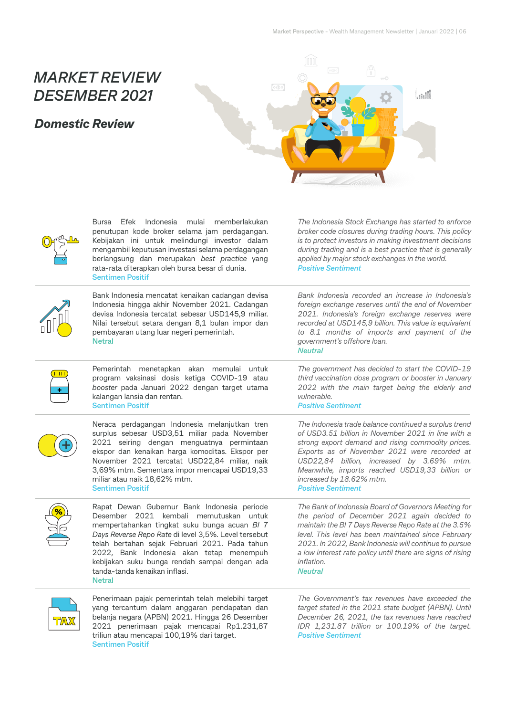# *MARKET REVIEW DESEMBER 2021*

#### *Domestic Review*



Bursa Efek Indonesia mulai memberlakukan penutupan kode broker selama jam perdagangan. Kebijakan ini untuk melindungi investor dalam mengambil keputusan investasi selama perdagangan berlangsung dan merupakan *best practice* yang rata-rata diterapkan oleh bursa besar di dunia. **Sentimen Positif**

*The Indonesia Stock Exchange has started to enforce broker code closures during trading hours. This policy is to protect investors in making investment decisions during trading and is a best practice that is generally applied by major stock exchanges in the world. Positive Sentiment*



Bank Indonesia mencatat kenaikan cadangan devisa Indonesia hingga akhir November 2021. Cadangan devisa Indonesia tercatat sebesar USD145,9 miliar. Nilai tersebut setara dengan 8,1 bulan impor dan pembayaran utang luar negeri pemerintah. **Netral**

Pemerintah menetapkan akan memulai untuk program vaksinasi dosis ketiga COVID-19 atau *booster* pada Januari 2022 dengan target utama kalangan lansia dan rentan. **Sentimen Positif**

Neraca perdagangan Indonesia melanjutkan tren surplus sebesar USD3,51 miliar pada November 2021 seiring dengan menguatnya permintaan ekspor dan kenaikan harga komoditas. Ekspor per November 2021 tercatat USD22,84 miliar, naik 3,69% mtm. Sementara impor mencapai USD19,33 miliar atau naik 18,62% mtm. **Sentimen Positif**



 $\bigoplus$ 

Rapat Dewan Gubernur Bank Indonesia periode Desember 2021 kembali memutuskan untuk mempertahankan tingkat suku bunga acuan *BI 7 Days Reverse Repo Rate* di level 3,5%. Level tersebut telah bertahan sejak Februari 2021. Pada tahun 2022, Bank Indonesia akan tetap menempuh kebijakan suku bunga rendah sampai dengan ada tanda-tanda kenaikan inflasi. **Netral**



Penerimaan pajak pemerintah telah melebihi target yang tercantum dalam anggaran pendapatan dan belanja negara (APBN) 2021. Hingga 26 Desember 2021 penerimaan pajak mencapai Rp1.231,87 triliun atau mencapai 100,19% dari target. **Sentimen Positif**

*Bank Indonesia recorded an increase in Indonesia's foreign exchange reserves until the end of November 2021. Indonesia's foreign exchange reserves were recorded at USD145,9 billion. This value is equivalent to 8.1 months of imports and payment of the government's offshore loan. Neutral*

*The government has decided to start the COVID-19 third vaccination dose program or booster in January 2022 with the main target being the elderly and vulnerable.* 

*Positive Sentiment*

*The Indonesia trade balance continued a surplus trend of USD3.51 billion in November 2021 in line with a strong export demand and rising commodity prices. Exports as of November 2021 were recorded at USD22,84 billion, increased by 3.69% mtm. Meanwhile, imports reached USD19,33 billion or increased by 18.62% mtm. Positive Sentiment*

*The Bank of Indonesia Board of Governors Meeting for the period of December 2021 again decided to maintain the BI 7 Days Reverse Repo Rate at the 3.5% level. This level has been maintained since February 2021. In 2022, Bank Indonesia will continue to pursue a low interest rate policy until there are signs of rising inflation.* 

*Neutral*

*The Government's tax revenues have exceeded the target stated in the 2021 state budget (APBN). Until December 26, 2021, the tax revenues have reached IDR 1,231.87 trillion or 100.19% of the target. Positive Sentiment*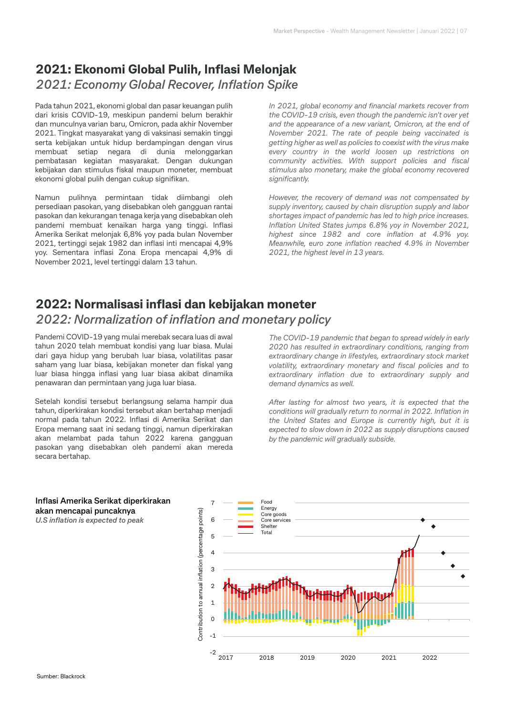#### **2021: Ekonomi Global Pulih, Inflasi Melonjak** *2021: Economy Global Recover, Inflation Spike*

Pada tahun 2021, ekonomi global dan pasar keuangan pulih dari krisis COVID-19, meskipun pandemi belum berakhir dan munculnya varian baru, Omicron, pada akhir November 2021. Tingkat masyarakat yang di vaksinasi semakin tinggi serta kebijakan untuk hidup berdampingan dengan virus membuat setiap negara di dunia melonggarkan pembatasan kegiatan masyarakat. Dengan dukungan kebijakan dan stimulus fiskal maupun moneter, membuat ekonomi global pulih dengan cukup signifikan.

Namun pulihnya permintaan tidak diimbangi oleh persediaan pasokan, yang disebabkan oleh gangguan rantai pasokan dan kekurangan tenaga kerja yang disebabkan oleh pandemi membuat kenaikan harga yang tinggi. Inflasi Amerika Serikat melonjak 6,8% yoy pada bulan November 2021, tertinggi sejak 1982 dan inflasi inti mencapai 4,9% yoy. Sementara inflasi Zona Eropa mencapai 4,9% di November 2021, level tertinggi dalam 13 tahun.

*In 2021, global economy and financial markets recover from the COVID-19 crisis, even though the pandemic isn't over yet and the appearance of a new variant, Omicron, at the end of November 2021. The rate of people being vaccinated is getting higher as well as policies to coexist with the virus make every country in the world loosen up restrictions on community activities. With support policies and fiscal stimulus also monetary, make the global economy recovered significantly.*

*However, the recovery of demand was not compensated by supply inventory, caused by chain disruption supply and labor shortages impact of pandemic has led to high price increases. Inflation United States jumps 6.8% yoy in November 2021, highest since 1982 and core inflation at 4.9% yoy. Meanwhile, euro zone inflation reached 4.9% in November 2021, the highest level in 13 years.*

## **2022: Normalisasi inflasi dan kebijakan moneter**

#### *2022: Normalization of inflation and monetary policy*

Pandemi COVID-19 yang mulai merebak secara luas di awal tahun 2020 telah membuat kondisi yang luar biasa. Mulai dari gaya hidup yang berubah luar biasa, volatilitas pasar saham yang luar biasa, kebijakan moneter dan fiskal yang luar biasa hingga inflasi yang luar biasa akibat dinamika penawaran dan permintaan yang juga luar biasa.

Setelah kondisi tersebut berlangsung selama hampir dua tahun, diperkirakan kondisi tersebut akan bertahap menjadi normal pada tahun 2022. Inflasi di Amerika Serikat dan Eropa memang saat ini sedang tinggi, namun diperkirakan akan melambat pada tahun 2022 karena gangguan pasokan yang disebabkan oleh pandemi akan mereda secara bertahap.

*The COVID-19 pandemic that began to spread widely in early 2020 has resulted in extraordinary conditions, ranging from extraordinary change in lifestyles, extraordinary stock market volatility, extraordinary monetary and fiscal policies and to extraordinary inflation due to extraordinary supply and demand dynamics as well.*

*After lasting for almost two years, it is expected that the conditions will gradually return to normal in 2022. Inflation in the United States and Europe is currently high, but it is expected to slow down in 2022 as supply disruptions caused by the pandemic will gradually subside.*



**Inflasi Amerika Serikat diperkirakan akan mencapai puncaknya** *U.S inflation is expected to peak*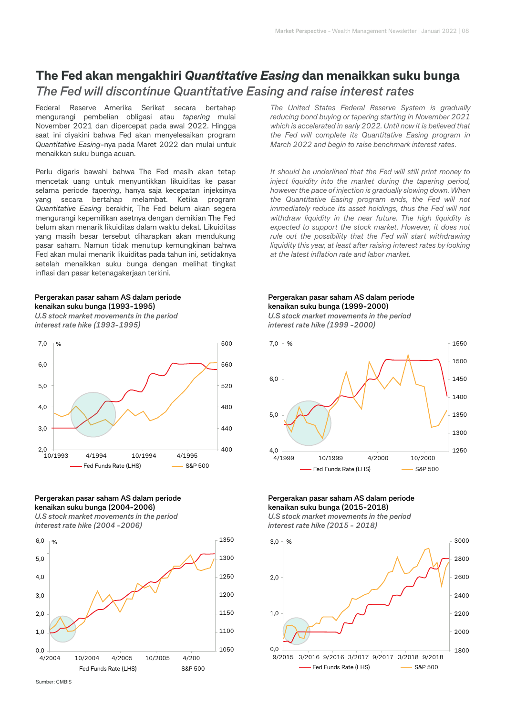## **The Fed akan mengakhiri** *Quantitative Easing* **dan menaikkan suku bunga** *The Fed will discontinue Quantitative Easing and raise interest rates*

Federal Reserve Amerika Serikat secara bertahap mengurangi pembelian obligasi atau *tapering* mulai November 2021 dan dipercepat pada awal 2022. Hingga saat ini diyakini bahwa Fed akan menyelesaikan program *Quantitative Easing*-nya pada Maret 2022 dan mulai untuk menaikkan suku bunga acuan.

Perlu digaris bawahi bahwa The Fed masih akan tetap mencetak uang untuk menyuntikkan likuiditas ke pasar selama periode *tapering*, hanya saja kecepatan injeksinya yang secara bertahap melambat. Ketika program *Quantitative Easing* berakhir, The Fed belum akan segera mengurangi kepemilikan asetnya dengan demikian The Fed belum akan menarik likuiditas dalam waktu dekat. Likuiditas yang masih besar tersebut diharapkan akan mendukung pasar saham. Namun tidak menutup kemungkinan bahwa Fed akan mulai menarik likuiditas pada tahun ini, setidaknya setelah menaikkan suku bunga dengan melihat tingkat inflasi dan pasar ketenagakerjaan terkini.

#### **Pergerakan pasar saham AS dalam periode kenaikan suku bunga (1993-1995)**

*U.S stock market movements in the period interest rate hike (1993-1995)*



#### **Pergerakan pasar saham AS dalam periode kenaikan suku bunga (2004-2006)**

*U.S stock market movements in the period interest rate hike (2004 -2006)*



*The United States Federal Reserve System is gradually reducing bond buying or tapering starting in November 2021 which is accelerated in early 2022. Until now it is believed that the Fed will complete its Quantitative Easing program in March 2022 and begin to raise benchmark interest rates.*

*It should be underlined that the Fed will still print money to inject liquidity into the market during the tapering period, however the pace of injection is gradually slowing down. When the Quantitative Easing program ends, the Fed will not immediately reduce its asset holdings, thus the Fed will not withdraw liquidity in the near future. The high liquidity is expected to support the stock market. However, it does not rule out the possibility that the Fed will start withdrawing liquidity this year, at least after raising interest rates by looking at the latest inflation rate and labor market.*

#### **Pergerakan pasar saham AS dalam periode kenaikan suku bunga (1999-2000)**

*U.S stock market movements in the period interest rate hike (1999 -2000)*



**Pergerakan pasar saham AS dalam periode kenaikan suku bunga (2015-2018)**

*U.S stock market movements in the period interest rate hike (2015 - 2018)*

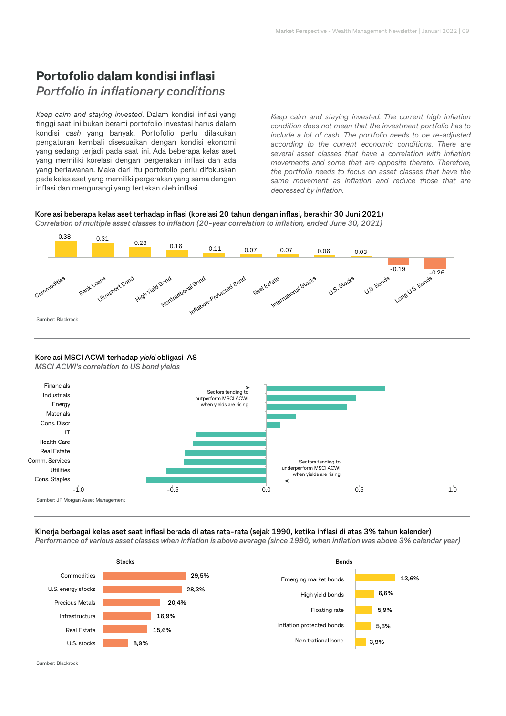# **Portofolio dalam kondisi inflasi** *Portfolio in inflationary conditions*

*Keep calm and staying invested*. Dalam kondisi inflasi yang tinggi saat ini bukan berarti portofolio investasi harus dalam kondisi *cash* yang banyak. Portofolio perlu dilakukan pengaturan kembali disesuaikan dengan kondisi ekonomi yang sedang terjadi pada saat ini. Ada beberapa kelas aset yang memiliki korelasi dengan pergerakan inflasi dan ada yang berlawanan. Maka dari itu portofolio perlu difokuskan pada kelas aset yang memiliki pergerakan yang sama dengan inflasi dan mengurangi yang tertekan oleh inflasi.

*Keep calm and staying invested. The current high inflation condition does not mean that the investment portfolio has to include a lot of cash. The portfolio needs to be re-adjusted according to the current economic conditions. There are several asset classes that have a correlation with inflation movements and some that are opposite thereto. Therefore, the portfolio needs to focus on asset classes that have the same movement as inflation and reduce those that are depressed by inflation.*

#### **Korelasi beberapa kelas aset terhadap inflasi (korelasi 20 tahun dengan inflasi, berakhir 30 Juni 2021)** *Correlation of multiple asset classes to inflation (20-year correlation to inflation, ended June 30, 2021)*



#### **Korelasi MSCI ACWI terhadap** *yield* **obligasi AS**

*MSCI ACWI's correlation to US bond yields*



#### **Kinerja berbagai kelas aset saat inflasi berada di atas rata-rata (sejak 1990, ketika inflasi di atas 3% tahun kalender)**

*Performance of various asset classes when inflation is above average (since 1990, when inflation was above 3% calendar year)*



Sumber: Blackrock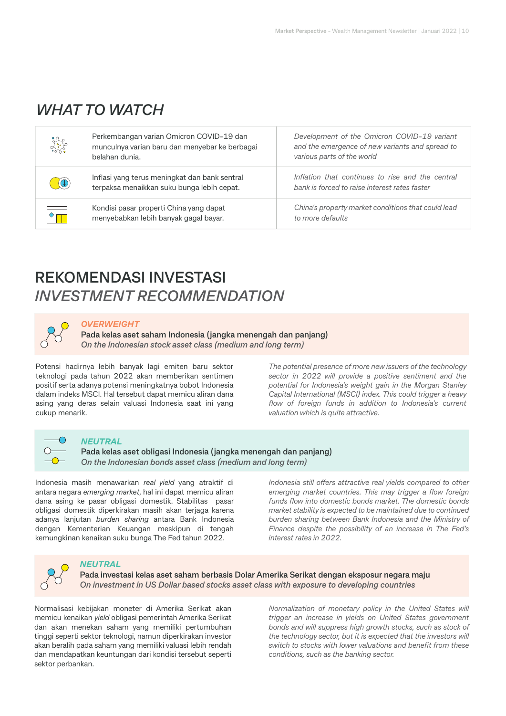# *WHAT TO WATCH*

| Secondario | Perkembangan varian Omicron COVID-19 dan<br>munculnya varian baru dan menyebar ke berbagai<br>belahan dunia. | Development of the Omicron COVID-19 variant<br>and the emergence of new variants and spread to<br>various parts of the world |
|------------|--------------------------------------------------------------------------------------------------------------|------------------------------------------------------------------------------------------------------------------------------|
| $\alpha$   | Inflasi yang terus meningkat dan bank sentral<br>terpaksa menaikkan suku bunga lebih cepat.                  | Inflation that continues to rise and the central<br>bank is forced to raise interest rates faster                            |
|            | Kondisi pasar properti China yang dapat<br>menyebabkan lebih banyak gagal bayar.                             | China's property market conditions that could lead<br>to more defaults                                                       |

# **REKOMENDASI INVESTASI** *INVESTMENT RECOMMENDATION*

#### *OVERWEIGHT*

**Pada kelas aset saham Indonesia (jangka menengah dan panjang)** *On the Indonesian stock asset class (medium and long term)*

Potensi hadirnya lebih banyak lagi emiten baru sektor teknologi pada tahun 2022 akan memberikan sentimen positif serta adanya potensi meningkatnya bobot Indonesia dalam indeks MSCI. Hal tersebut dapat memicu aliran dana asing yang deras selain valuasi Indonesia saat ini yang cukup menarik.

*The potential presence of more new issuers of the technology sector in 2022 will provide a positive sentiment and the potential for Indonesia's weight gain in the Morgan Stanley Capital International (MSCI) index. This could trigger a heavy flow of foreign funds in addition to Indonesia's current valuation which is quite attractive.*



#### *NEUTRAL*

**Pada kelas aset obligasi Indonesia (jangka menengah dan panjang)** *On the Indonesian bonds asset class (medium and long term)*

Indonesia masih menawarkan *real yield* yang atraktif di antara negara *emerging market*, hal ini dapat memicu aliran dana asing ke pasar obligasi domestik. Stabilitas pasar obligasi domestik diperkirakan masih akan terjaga karena adanya lanjutan *burden sharing* antara Bank Indonesia dengan Kementerian Keuangan meskipun di tengah kemungkinan kenaikan suku bunga The Fed tahun 2022.

*Indonesia still offers attractive real vields compared to other emerging market countries. This may trigger a flow foreign funds flow into domestic bonds market. The domestic bonds market stability is expected to be maintained due to continued burden sharing between Bank Indonesia and the Ministry of Finance despite the possibility of an increase in The Fed's interest rates in 2022.*



#### *NEUTRAL*

**Pada investasi kelas aset saham berbasis Dolar Amerika Serikat dengan eksposur negara maju** *On investment in US Dollar based stocks asset class with exposure to developing countries*

Normalisasi kebijakan moneter di Amerika Serikat akan memicu kenaikan *yield* obligasi pemerintah Amerika Serikat dan akan menekan saham yang memiliki pertumbuhan tinggi seperti sektor teknologi, namun diperkirakan investor akan beralih pada saham yang memiliki valuasi lebih rendah dan mendapatkan keuntungan dari kondisi tersebut seperti sektor perbankan.

*Normalization of monetary policy in the United States will trigger an increase in yields on United States government bonds and will suppress high growth stocks, such as stock of the technology sector, but it is expected that the investors will switch to stocks with lower valuations and benefit from these conditions, such as the banking sector.*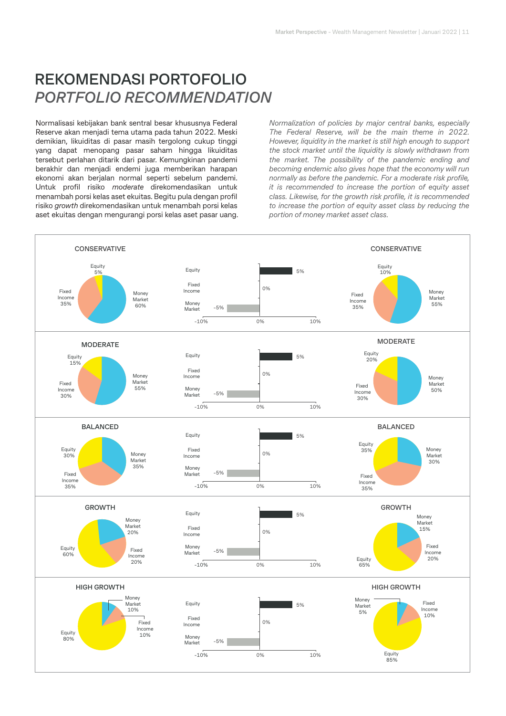# **REKOMENDASI PORTOFOLIO** *PORTFOLIO RECOMMENDATION*

Normalisasi kebijakan bank sentral besar khususnya Federal Reserve akan menjadi tema utama pada tahun 2022. Meski demikian, likuiditas di pasar masih tergolong cukup tinggi yang dapat menopang pasar saham hingga likuiditas tersebut perlahan ditarik dari pasar. Kemungkinan pandemi berakhir dan menjadi endemi juga memberikan harapan ekonomi akan berjalan normal seperti sebelum pandemi. Untuk profil risiko *moderate* direkomendasikan untuk menambah porsi kelas aset ekuitas. Begitu pula dengan profil risiko *growth* direkomendasikan untuk menambah porsi kelas aset ekuitas dengan mengurangi porsi kelas aset pasar uang.

*Normalization of policies by major central banks, especially The Federal Reserve, will be the main theme in 2022. However, liquidity in the market is still high enough to support the stock market until the liquidity is slowly withdrawn from the market. The possibility of the pandemic ending and becoming endemic also gives hope that the economy will run normally as before the pandemic. For a moderate risk profile, it is recommended to increase the portion of equity asset class. Likewise, for the growth risk profile, it is recommended to increase the portion of equity asset class by reducing the portion of money market asset class.*

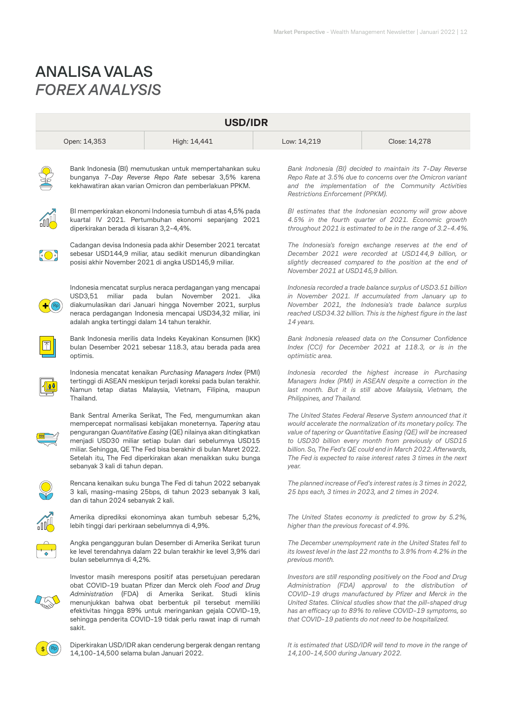# **ANALISA VALAS** *FOREX ANALYSIS*

| <b>USD/IDR</b> |                                                                                                                                                                                                                                                                                                                                                                                                                           |                                                                                                                                                                                   |  |                                                                                                                                                                                                                   |                                                                                                                                                                                                                                                                                                                                                                                               |  |
|----------------|---------------------------------------------------------------------------------------------------------------------------------------------------------------------------------------------------------------------------------------------------------------------------------------------------------------------------------------------------------------------------------------------------------------------------|-----------------------------------------------------------------------------------------------------------------------------------------------------------------------------------|--|-------------------------------------------------------------------------------------------------------------------------------------------------------------------------------------------------------------------|-----------------------------------------------------------------------------------------------------------------------------------------------------------------------------------------------------------------------------------------------------------------------------------------------------------------------------------------------------------------------------------------------|--|
|                | Open: 14,353                                                                                                                                                                                                                                                                                                                                                                                                              | High: 14,441                                                                                                                                                                      |  | Low: 14,219                                                                                                                                                                                                       | Close: 14,278                                                                                                                                                                                                                                                                                                                                                                                 |  |
|                | Bank Indonesia (BI) memutuskan untuk mempertahankan suku<br>bunganya 7-Day Reverse Repo Rate sebesar 3,5% karena<br>kekhawatiran akan varian Omicron dan pemberlakuan PPKM.                                                                                                                                                                                                                                               |                                                                                                                                                                                   |  | Restrictions Enforcement (PPKM).                                                                                                                                                                                  | Bank Indonesia (BI) decided to maintain its 7-Day Reverse<br>Repo Rate at 3.5% due to concerns over the Omicron variant<br>and the implementation of the Community Activities                                                                                                                                                                                                                 |  |
|                | diperkirakan berada di kisaran 3,2-4,4%.                                                                                                                                                                                                                                                                                                                                                                                  | BI memperkirakan ekonomi Indonesia tumbuh di atas 4,5% pada<br>kuartal IV 2021. Pertumbuhan ekonomi sepanjang 2021                                                                |  |                                                                                                                                                                                                                   | BI estimates that the Indonesian economy will grow above<br>4.5% in the fourth quarter of 2021. Economic growth<br>throughout 2021 is estimated to be in the range of 3.2-4.4%.                                                                                                                                                                                                               |  |
| <u>(O)</u>     |                                                                                                                                                                                                                                                                                                                                                                                                                           | Cadangan devisa Indonesia pada akhir Desember 2021 tercatat<br>sebesar USD144,9 miliar, atau sedikit menurun dibandingkan<br>posisi akhir November 2021 di angka USD145,9 miliar. |  | The Indonesia's foreign exchange reserves at the end of<br>December 2021 were recorded at USD144,9 billion, or<br>slightly decreased compared to the position at the end of<br>November 2021 at USD145,9 billion. |                                                                                                                                                                                                                                                                                                                                                                                               |  |
|                | Indonesia mencatat surplus neraca perdagangan yang mencapai<br>USD3,51<br>miliar<br>pada<br>bulan<br>November<br>2021.<br>Jika<br>diakumulasikan dari Januari hingga November 2021, surplus<br>neraca perdagangan Indonesia mencapai USD34,32 miliar, ini<br>adalah angka tertinggi dalam 14 tahun terakhir.                                                                                                              |                                                                                                                                                                                   |  | 14 years.                                                                                                                                                                                                         | Indonesia recorded a trade balance surplus of USD3.51 billion<br>in November 2021. If accumulated from January up to<br>November 2021, the Indonesia's trade balance surplus<br>reached USD34.32 billion. This is the highest figure in the last                                                                                                                                              |  |
|                | Bank Indonesia merilis data Indeks Keyakinan Konsumen (IKK)<br>bulan Desember 2021 sebesar 118.3, atau berada pada area<br>optimis.                                                                                                                                                                                                                                                                                       |                                                                                                                                                                                   |  | Bank Indonesia released data on the Consumer Confidence<br>Index (CCI) for December 2021 at 118.3, or is in the<br>optimistic area.                                                                               |                                                                                                                                                                                                                                                                                                                                                                                               |  |
|                | Indonesia mencatat kenaikan Purchasing Managers Index (PMI)<br>tertinggi di ASEAN meskipun terjadi koreksi pada bulan terakhir.<br>Namun tetap diatas Malaysia, Vietnam, Filipina, maupun<br>Thailand.                                                                                                                                                                                                                    |                                                                                                                                                                                   |  | Indonesia recorded the highest increase in Purchasing<br>Managers Index (PMI) in ASEAN despite a correction in the<br>last month. But it is still above Malaysia, Vietnam, the<br>Philippines, and Thailand.      |                                                                                                                                                                                                                                                                                                                                                                                               |  |
|                | Bank Sentral Amerika Serikat, The Fed, mengumumkan akan<br>mempercepat normalisasi kebijakan moneternya. Tapering atau<br>pengurangan Quantitative Easing (QE) nilainya akan ditingkatkan<br>menjadi USD30 miliar setiap bulan dari sebelumnya USD15<br>miliar. Sehingga, QE The Fed bisa berakhir di bulan Maret 2022.<br>Setelah itu, The Fed diperkirakan akan menaikkan suku bunga<br>sebanyak 3 kali di tahun depan. |                                                                                                                                                                                   |  | year.                                                                                                                                                                                                             | The United States Federal Reserve System announced that it<br>would accelerate the normalization of its monetary policy. The<br>value of tapering or Quantitative Easing (QE) will be increased<br>to USD30 billion every month from previously of USD15<br>billion. So, The Fed's QE could end in March 2022. Afterwards,<br>The Fed is expected to raise interest rates 3 times in the next |  |
| $\infty$       | dan di tahun 2024 sebanyak 2 kali.                                                                                                                                                                                                                                                                                                                                                                                        | Rencana kenaikan suku bunga The Fed di tahun 2022 sebanyak<br>3 kali, masing-masing 25bps, di tahun 2023 sebanyak 3 kali,                                                         |  |                                                                                                                                                                                                                   | The planned increase of Fed's interest rates is 3 times in 2022,<br>25 bps each, 3 times in 2023, and 2 times in 2024.                                                                                                                                                                                                                                                                        |  |
|                | Amerika diprediksi ekonominya akan tumbuh sebesar 5,2%,<br>lebih tinggi dari perkiraan sebelumnya di 4,9%.                                                                                                                                                                                                                                                                                                                |                                                                                                                                                                                   |  | higher than the previous forecast of 4.9%.                                                                                                                                                                        | The United States economy is predicted to grow by 5.2%,                                                                                                                                                                                                                                                                                                                                       |  |
|                | Angka pengangguran bulan Desember di Amerika Serikat turun<br>ke level terendahnya dalam 22 bulan terakhir ke level 3,9% dari<br>bulan sebelumnya di 4,2%.                                                                                                                                                                                                                                                                |                                                                                                                                                                                   |  | previous month.                                                                                                                                                                                                   | The December unemployment rate in the United States fell to<br>its lowest level in the last 22 months to 3.9% from 4.2% in the                                                                                                                                                                                                                                                                |  |
|                | Investor masih merespons positif atas persetujuan peredaran<br>obat COVID-19 buatan Pfizer dan Merck oleh Food and Drug<br>Administration (FDA) di Amerika Serikat. Studi klinis<br>menunjukkan bahwa obat berbentuk pil tersebut memiliki<br>efektivitas hingga 89% untuk meringankan gejala COVID-19,<br>sehingga penderita COVID-19 tidak perlu rawat inap di rumah<br>sakit.                                          |                                                                                                                                                                                   |  |                                                                                                                                                                                                                   | Investors are still responding positively on the Food and Drug<br>Administration (FDA) approval to the distribution of<br>COVID-19 drugs manufactured by Pfizer and Merck in the<br>United States. Clinical studies show that the pill-shaped drug<br>has an efficacy up to 89% to relieve COVID-19 symptoms, so<br>that COVID-19 patients do not need to be hospitalized.                    |  |
|                | 14,100-14,500 selama bulan Januari 2022.                                                                                                                                                                                                                                                                                                                                                                                  | Diperkirakan USD/IDR akan cenderung bergerak dengan rentang                                                                                                                       |  | 14,100-14,500 during January 2022.                                                                                                                                                                                | It is estimated that USD/IDR will tend to move in the range of                                                                                                                                                                                                                                                                                                                                |  |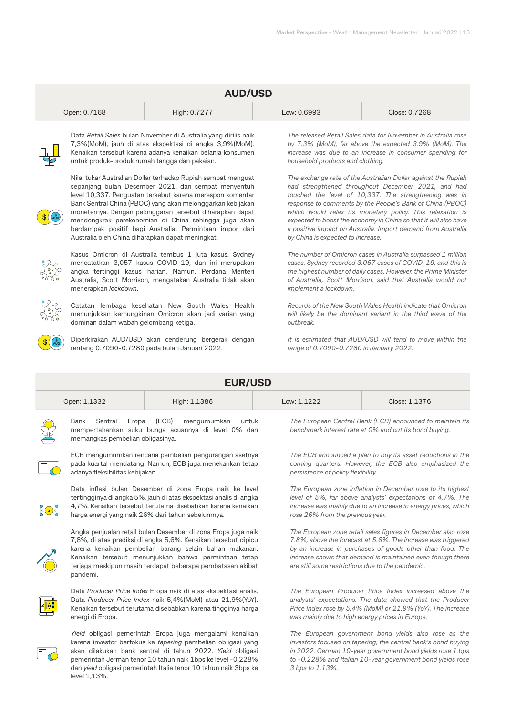| <b>AUD/USD</b> |                                                                                                                                                                                                                                                                                                                                                                                                                                                                                   |                                                                                                                                                                                                                                     |  |                                                                                                                                                                                                                                                                                                                                                                                                                                                                                 |                                                                                                                                                                                                                                                              |  |
|----------------|-----------------------------------------------------------------------------------------------------------------------------------------------------------------------------------------------------------------------------------------------------------------------------------------------------------------------------------------------------------------------------------------------------------------------------------------------------------------------------------|-------------------------------------------------------------------------------------------------------------------------------------------------------------------------------------------------------------------------------------|--|---------------------------------------------------------------------------------------------------------------------------------------------------------------------------------------------------------------------------------------------------------------------------------------------------------------------------------------------------------------------------------------------------------------------------------------------------------------------------------|--------------------------------------------------------------------------------------------------------------------------------------------------------------------------------------------------------------------------------------------------------------|--|
|                | Open: 0.7168                                                                                                                                                                                                                                                                                                                                                                                                                                                                      | High: 0.7277                                                                                                                                                                                                                        |  | Low: 0.6993                                                                                                                                                                                                                                                                                                                                                                                                                                                                     | Close: 0.7268                                                                                                                                                                                                                                                |  |
|                | untuk produk-produk rumah tangga dan pakaian.                                                                                                                                                                                                                                                                                                                                                                                                                                     | Data Retail Sales bulan November di Australia yang dirilis naik<br>7,3%(MoM), jauh di atas ekspektasi di angka 3,9%(MoM).<br>Kenaikan tersebut karena adanya kenaikan belanja konsumen                                              |  | household products and clothing.                                                                                                                                                                                                                                                                                                                                                                                                                                                | The released Retail Sales data for November in Australia rose<br>by 7.3% (MoM), far above the expected 3.9% (MoM). The<br>increase was due to an increase in consumer spending for                                                                           |  |
|                | Nilai tukar Australian Dollar terhadap Rupiah sempat menguat<br>sepanjang bulan Desember 2021, dan sempat menyentuh<br>level 10,337. Penguatan tersebut karena merespon komentar<br>Bank Sentral China (PBOC) yang akan melonggarkan kebijakan<br>moneternya. Dengan pelonggaran tersebut diharapkan dapat<br>mendongkrak perekonomian di China sehingga juga akan<br>berdampak positif bagi Australia. Permintaan impor dari<br>Australia oleh China diharapkan dapat meningkat. |                                                                                                                                                                                                                                     |  | The exchange rate of the Australian Dollar against the Rupiah<br>had strengthened throughout December 2021, and had<br>touched the level of 10,337. The strengthening was in<br>response to comments by the People's Bank of China (PBOC)<br>which would relax its monetary policy. This relaxation is<br>expected to boost the economy in China so that it will also have<br>a positive impact on Australia. Import demand from Australia<br>by China is expected to increase. |                                                                                                                                                                                                                                                              |  |
|                | menerapkan lockdown.                                                                                                                                                                                                                                                                                                                                                                                                                                                              | Kasus Omicron di Australia tembus 1 juta kasus. Sydney<br>mencatatkan 3,057 kasus COVID-19, dan ini merupakan<br>angka tertinggi kasus harian. Namun, Perdana Menteri<br>Australia, Scott Morrison, mengatakan Australia tidak akan |  | implement a lockdown.                                                                                                                                                                                                                                                                                                                                                                                                                                                           | The number of Omicron cases in Australia surpassed 1 million<br>cases. Sydney recorded 3,057 cases of COVID-19, and this is<br>the highest number of daily cases. However, the Prime Minister<br>of Australia, Scott Morrison, said that Australia would not |  |
|                | dominan dalam wabah gelombang ketiga.                                                                                                                                                                                                                                                                                                                                                                                                                                             | Catatan lembaga kesehatan New South Wales Health<br>menunjukkan kemungkinan Omicron akan jadi varian yang                                                                                                                           |  | outbreak.                                                                                                                                                                                                                                                                                                                                                                                                                                                                       | Records of the New South Wales Health indicate that Omicron<br>will likely be the dominant variant in the third wave of the                                                                                                                                  |  |
|                |                                                                                                                                                                                                                                                                                                                                                                                                                                                                                   | Diperkirakan AUD/USD akan cenderung bergerak dengan<br>rentang 0.7090-0.7280 pada bulan Januari 2022.                                                                                                                               |  | range of 0.7090-0.7280 in January 2022.                                                                                                                                                                                                                                                                                                                                                                                                                                         | It is estimated that AUD/USD will tend to move within the                                                                                                                                                                                                    |  |
|                | <b>EUR/USD</b>                                                                                                                                                                                                                                                                                                                                                                                                                                                                    |                                                                                                                                                                                                                                     |  |                                                                                                                                                                                                                                                                                                                                                                                                                                                                                 |                                                                                                                                                                                                                                                              |  |

|    | Open: 1.1332                                           | High: 1.1386                                                                        | Low: 1.1222 | Close: 1.1376                                                                                                       |
|----|--------------------------------------------------------|-------------------------------------------------------------------------------------|-------------|---------------------------------------------------------------------------------------------------------------------|
| SE | Bank Sentral Eropa<br>memangkas pembelian obligasinya. | (ECB)<br>mengumumkan<br>untuk<br>mempertahankan suku bunga acuannya di level 0% dan |             | The European Central Bank (ECB) announced to maintain its<br>benchmark interest rate at 0% and cut its bond buying. |



ECB mengumumkan rencana pembelian pengurangan asetnya pada kuartal mendatang. Namun, ECB juga menekankan tetap adanya fleksibilitas kebijakan.



Data inflasi bulan Desember di zona Eropa naik ke level tertingginya di angka 5%, jauh di atas ekspektasi analis di angka 4,7%. Kenaikan tersebut terutama disebabkan karena kenaikan harga energi yang naik 26% dari tahun sebelumnya.



Angka penjualan retail bulan Desember di zona Eropa juga naik 7,8%, di atas prediksi di angka 5,6%. Kenaikan tersebut dipicu karena kenaikan pembelian barang selain bahan makanan. Kenaikan tersebut menunjukkan bahwa permintaan tetap terjaga meskipun masih terdapat beberapa pembatasan akibat pandemi.



Data *Producer Price Index* Eropa naik di atas ekspektasi analis. Data *Producer Price Index* naik 5,4%(MoM) atau 21,9%(YoY). Kenaikan tersebut terutama disebabkan karena tingginya harga energi di Eropa.



*Yield* obligasi pemerintah Eropa juga mengalami kenaikan karena investor berfokus ke *tapering* pembelian obligasi yang akan dilakukan bank sentral di tahun 2022. *Yield* obligasi pemerintah Jerman tenor 10 tahun naik 1bps ke level -0,228% dan *yield* obligasi pemerintah Italia tenor 10 tahun naik 3bps ke level 1,13%.

*The ECB announced a plan to buy its asset reductions in the coming quarters. However, the ECB also emphasized the persistence of policy flexibility.*

*The European zone inflation in December rose to its highest level of 5%, far above analysts' expectations of 4.7%. The increase was mainly due to an increase in energy prices, which rose 26% from the previous year.*

*The European zone retail sales figures in December also rose 7.8%, above the forecast at 5.6%. The increase was triggered by an increase in purchases of goods other than food. The increase shows that demand is maintained even though there are still some restrictions due to the pandemic.*

*The European Producer Price Index increased above the analysts' expectations. The data showed that the Producer Price Index rose by 5.4% (MoM) or 21.9% (YoY). The increase was mainly due to high energy prices in Europe.*

*The European government bond yields also rose as the investors focused on tapering, the central bank's bond buying in 2022. German 10-year government bond yields rose 1 bps to -0.228% and Italian 10-year government bond yields rose 3 bps to 1.13%.*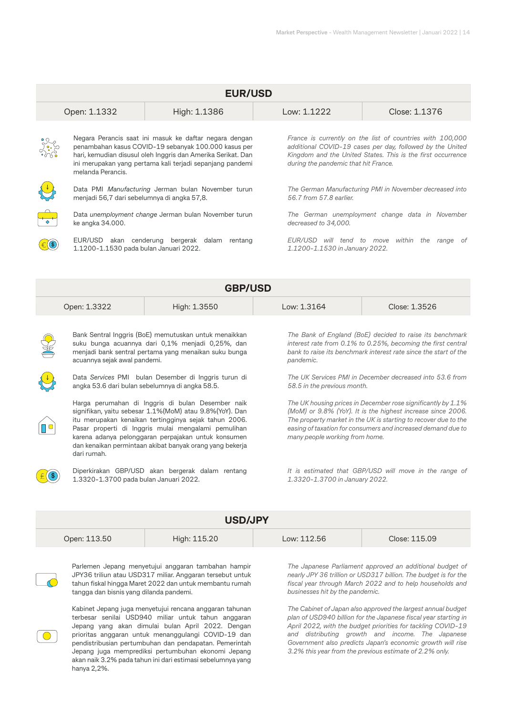| <b>EUR/USD</b>                                                                                                                                                                                                                                                                                                                                                                                                                                                                                                                                                                                                                                                                          |                                                                                                                                                                                                                                                                  |                                                                            |                                                                                                                                                                                                                                                                                                                                                                                                                                                                                                                            |                                                                                                                                                                                       |  |  |
|-----------------------------------------------------------------------------------------------------------------------------------------------------------------------------------------------------------------------------------------------------------------------------------------------------------------------------------------------------------------------------------------------------------------------------------------------------------------------------------------------------------------------------------------------------------------------------------------------------------------------------------------------------------------------------------------|------------------------------------------------------------------------------------------------------------------------------------------------------------------------------------------------------------------------------------------------------------------|----------------------------------------------------------------------------|----------------------------------------------------------------------------------------------------------------------------------------------------------------------------------------------------------------------------------------------------------------------------------------------------------------------------------------------------------------------------------------------------------------------------------------------------------------------------------------------------------------------------|---------------------------------------------------------------------------------------------------------------------------------------------------------------------------------------|--|--|
|                                                                                                                                                                                                                                                                                                                                                                                                                                                                                                                                                                                                                                                                                         | Open: 1.1332                                                                                                                                                                                                                                                     | High: 1.1386                                                               | Low: 1.1222                                                                                                                                                                                                                                                                                                                                                                                                                                                                                                                | Close: 1.1376                                                                                                                                                                         |  |  |
|                                                                                                                                                                                                                                                                                                                                                                                                                                                                                                                                                                                                                                                                                         | Negara Perancis saat ini masuk ke daftar negara dengan<br>penambahan kasus COVID-19 sebanyak 100.000 kasus per<br>hari, kemudian disusul oleh Inggris dan Amerika Serikat. Dan<br>ini merupakan yang pertama kali terjadi sepanjang pandemi<br>melanda Perancis. |                                                                            | during the pandemic that hit France.                                                                                                                                                                                                                                                                                                                                                                                                                                                                                       | France is currently on the list of countries with 100,000<br>additional COVID-19 cases per day, followed by the United<br>Kingdom and the United States. This is the first occurrence |  |  |
|                                                                                                                                                                                                                                                                                                                                                                                                                                                                                                                                                                                                                                                                                         | menjadi 56,7 dari sebelumnya di angka 57,8.                                                                                                                                                                                                                      | Data PMI Manufacturing Jerman bulan November turun                         | 56.7 from 57.8 earlier.                                                                                                                                                                                                                                                                                                                                                                                                                                                                                                    | The German Manufacturing PMI in November decreased into                                                                                                                               |  |  |
|                                                                                                                                                                                                                                                                                                                                                                                                                                                                                                                                                                                                                                                                                         | Data unemployment change Jerman bulan November turun<br>ke angka 34.000.                                                                                                                                                                                         |                                                                            | decreased to 34,000.                                                                                                                                                                                                                                                                                                                                                                                                                                                                                                       | The German unemployment change data in November                                                                                                                                       |  |  |
|                                                                                                                                                                                                                                                                                                                                                                                                                                                                                                                                                                                                                                                                                         | EUR/USD akan cenderung bergerak dalam rentang<br>1.1200-1.1530 pada bulan Januari 2022.                                                                                                                                                                          |                                                                            |                                                                                                                                                                                                                                                                                                                                                                                                                                                                                                                            | EUR/USD will tend to move within the range of<br>1.1200-1.1530 in January 2022.                                                                                                       |  |  |
|                                                                                                                                                                                                                                                                                                                                                                                                                                                                                                                                                                                                                                                                                         |                                                                                                                                                                                                                                                                  | <b>GBP/USD</b>                                                             |                                                                                                                                                                                                                                                                                                                                                                                                                                                                                                                            |                                                                                                                                                                                       |  |  |
|                                                                                                                                                                                                                                                                                                                                                                                                                                                                                                                                                                                                                                                                                         | Open: 1.3322                                                                                                                                                                                                                                                     | High: 1.3550                                                               | Low: 1.3164                                                                                                                                                                                                                                                                                                                                                                                                                                                                                                                | Close: 1.3526                                                                                                                                                                         |  |  |
| Bank Sentral Inggris (BoE) memutuskan untuk menaikkan<br>suku bunga acuannya dari 0,1% menjadi 0,25%, dan<br>menjadi bank sentral pertama yang menaikan suku bunga<br>acuannya sejak awal pandemi.<br>Data Services PMI bulan Desember di Inggris turun di<br>angka 53.6 dari bulan sebelumnya di angka 58.5.<br>Harga perumahan di Inggris di bulan Desember naik<br>signifikan, yaitu sebesar 1.1% (MoM) atau 9.8% (YoY). Dan<br>itu merupakan kenaikan tertingginya sejak tahun 2006.<br>TO<br>Pasar properti di Inggris mulai mengalami pemulihan<br>karena adanya pelonggaran perpajakan untuk konsumen<br>dan kenaikan permintaan akibat banyak orang yang bekerja<br>dari rumah. |                                                                                                                                                                                                                                                                  | pandemic.<br>58.5 in the previous month.<br>many people working from home. | The Bank of England (BoE) decided to raise its benchmark<br>interest rate from 0.1% to 0.25%, becoming the first central<br>bank to raise its benchmark interest rate since the start of the<br>The UK Services PMI in December decreased into 53.6 from<br>The UK housing prices in December rose significantly by 1.1%<br>(MoM) or 9.8% (YoY). It is the highest increase since 2006.<br>The property market in the UK is starting to recover due to the<br>easing of taxation for consumers and increased demand due to |                                                                                                                                                                                       |  |  |
| Diperkirakan GBP/USD akan bergerak dalam rentang<br>$\left(  \right)$<br>1.3320-1.3700 pada bulan Januari 2022.                                                                                                                                                                                                                                                                                                                                                                                                                                                                                                                                                                         |                                                                                                                                                                                                                                                                  |                                                                            | 1.3320-1.3700 in January 2022.                                                                                                                                                                                                                                                                                                                                                                                                                                                                                             | It is estimated that GBP/USD will move in the range of                                                                                                                                |  |  |

| <b>USD/JPY</b> |              |             |               |  |  |
|----------------|--------------|-------------|---------------|--|--|
| Open: 113.50   | High: 115.20 | Low: 112.56 | Close: 115.09 |  |  |
|                |              |             |               |  |  |



Parlemen Jepang menyetujui anggaran tambahan hampir JPY36 triliun atau USD317 miliar. Anggaran tersebut untuk tahun fiskal hingga Maret 2022 dan untuk membantu rumah tangga dan bisnis yang dilanda pandemi.

1.3320-1.3700 pada bulan Januari 2022.

Kabinet Jepang juga menyetujui rencana anggaran tahunan

 $\bigcirc$ 

terbesar senilai USD940 miliar untuk tahun anggaran Jepang yang akan dimulai bulan April 2022. Dengan prioritas anggaran untuk menanggulangi COVID-19 dan pendistribusian pertumbuhan dan pendapatan. Pemerintah Jepang juga memprediksi pertumbuhan ekonomi Jepang akan naik 3.2% pada tahun ini dari estimasi sebelumnya yang hanya 2,2%.

*The Japanese Parliament approved an additional budget of nearly JPY 36 trillion or USD317 billion. The budget is for the fiscal year through March 2022 and to help households and businesses hit by the pandemic.*

*1.3320-1.3700 in January 2022.*

*The Cabinet of Japan also approved the largest annual budget plan of USD940 billion for the Japanese fiscal year starting in April 2022, with the budget priorities for tackling COVID-19 and distributing growth and income. The Japanese Government also predicts Japan's economic growth will rise 3.2% this year from the previous estimate of 2.2% only.*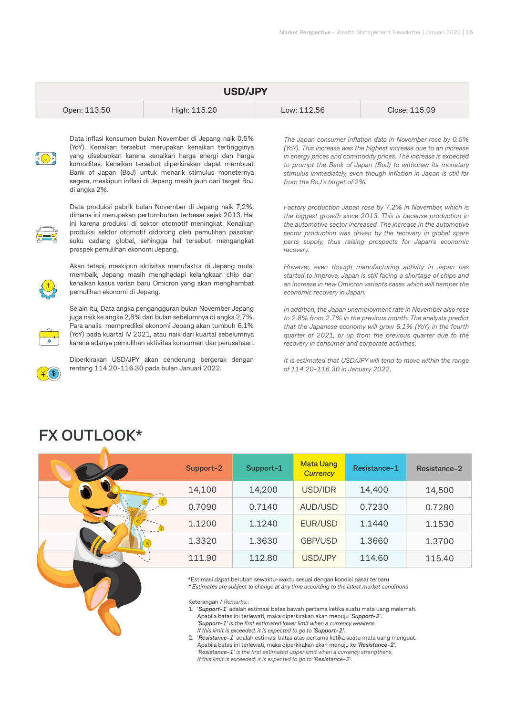| <b>USD/JPY</b> |              |             |               |  |  |
|----------------|--------------|-------------|---------------|--|--|
| Open: 113.50   | High: 115.20 | Low: 112.56 | Close: 115.09 |  |  |



Data inflasi konsumen bulan November di Jepang naik 0,5% (YoY). Kenaikan tersebut merupakan kenaikan tertingginya yang disebabkan karena kenaikan harga energi dan harga komoditas. Kenaikan tersebut diperkirakan dapat membuat Bank of Japan (BoJ) untuk menarik stimulus moneternya segera, meskipun inflasi di Jepang masih jauh dari target BoJ di angka 2%.



Data produksi pabrik bulan November di Jepang naik 7,2%, dimana ini merupakan pertumbuhan terbesar sejak 2013. Hal ini karena produksi di sektor otomotif meningkat. Kenaikan produksi sektor otomotif didorong oleh pemulihan pasokan suku cadang global, sehingga hal tersebut mengangkat prospek pemulihan ekonomi Jepang.

Akan tetapi, meskipun aktivitas manufaktur di Jepang mulai membaik, Jepang masih menghadapi kelangkaan chip dan kenaikan kasus varian baru Omicron yang akan menghambat pemulihan ekonomi di Jepang.

Selain itu, Data angka pengangguran bulan November Jepang juga naik ke angka 2,8% dari bulan sebelumnya di angka 2,7%. Para analis memprediksi ekonomi Jepang akan tumbuh 6,1% (YoY) pada kuartal IV 2021, atau naik dari kuartal sebelumnya karena adanya pemulihan aktivitas konsumen dan perusahaan.



Diperkirakan USD/JPY akan cenderung bergerak dengan rentang 114.20-116.30 pada bulan Januari 2022.

*The Japan consumer inflation data in November rose by 0.5% (YoY). This increase was the highest increase due to an increase in energy prices and commodity prices. The increase is expected to prompt the Bank of Japan (BoJ) to withdraw its monetary stimulus immediately, even though inflation in Japan is still far from the BoJ's target of 2%.*

*Factory production Japan rose by 7.2% in November, which is the biggest growth since 2013. This is because production in the automotive sector increased. The increase in the automotive sector production was driven by the recovery in global spare parts supply, thus raising prospects for Japan's economic recovery.*

*However, even though manufacturing activity in Japan has started to improve, Japan is still facing a shortage of chips and an increase in new Omicron variants cases which will hamper the economic recovery in Japan.*

*In addition, the Japan unemployment rate in November also rose to 2.8% from 2.7% in the previous month. The analysts predict that the Japanese economy will grow 6.1% (YoY) in the fourth quarter of 2021, or up from the previous quarter due to the recovery in consumer and corporate activities.*

*It is estimated that USD/JPY will tend to move within the range of 114.20-116.30 in January 2022.*

# **FX OUTLOOK\***

| Support-2 | Support-1 | <b>Mata Uang</b><br><b>Currency</b> | Resistance-1 | Resistance-2 |
|-----------|-----------|-------------------------------------|--------------|--------------|
| 14,100    | 14,200    | USD/IDR                             | 14,400       | 14,500       |
| 0.7090    | 0.7140    | AUD/USD                             | 0.7230       | 0.7280       |
| 1.1200    | 1.1240    | EUR/USD                             | 1.1440       | 1.1530       |
| 1.3320    | 1.3630    | GBP/USD                             | 1.3660       | 1.3700       |
| 111.90    | 112.80    | USD/JPY                             | 114.60       | 115.40       |

\*Estimasi dapat berubah sewaktu-waktu sesuai dengan kondisi pasar terbaru

*\* Estimates are subject to change at any time according to the latest market conditions*

Keterangan / *Remarks:*:

1. '*Support-1*' adalah estimasi batas bawah pertama ketika suatu mata uang melemah. Apabila batas ini terlewati, maka diperkirakan akan menuju '*Support-2*'. *'Support-1' is the first estimated lower limit when a currency weakens. If this limit is exceeded, it is expected to go to 'Support-2'.*

2. '*Resistance-1*' adalah estimasi batas atas pertama ketika suatu mata uang menguat. Apabila batas ini terlewati, maka diperkirakan akan menuju ke '*Resistance-2*'.  *'Resistance-1' is the first estimated upper limit when a currency strengthens. If this limit is exceeded, it is expected to go to 'Resistance-2'.*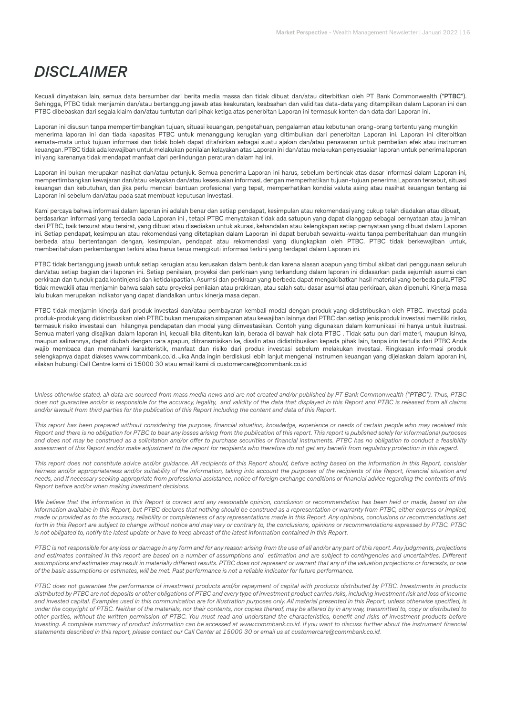# *DISCLAIMER*

Kecuali dinyatakan lain, semua data bersumber dari berita media massa dan tidak dibuat dan/atau diterbitkan oleh PT Bank Commonwealth ("**PTBC**"). Sehingga, PTBC tidak menjamin dan/atau bertanggung jawab atas keakuratan, keabsahan dan validitas data-data yang ditampilkan dalam Laporan ini dan PTBC dibebaskan dari segala klaim dan/atau tuntutan dari pihak ketiga atas penerbitan Laporan ini termasuk konten dan data dari Laporan ini.

Laporan ini disusun tanpa mempertimbangkan tujuan, situasi keuangan, pengetahuan, pengalaman atau kebutuhan orang-orang tertentu yang mungkin menerima laporan ini dan tiada kapasitas PTBC untuk menanggung kerugian yang ditimbulkan dari penerbitan Laporan ini. Laporan ini diterbitkan semata-mata untuk tujuan informasi dan tidak boleh dapat ditafsirkan sebagai suatu ajakan dan/atau penawaran untuk pembelian efek atau instrumen keuangan. PTBC tidak ada kewajiban untuk melakukan penilaian kelayakan atas Laporan ini dan/atau melakukan penyesuaian laporan untuk penerima laporan ini yang karenanya tidak mendapat manfaat dari perlindungan peraturan dalam hal ini.

Laporan ini bukan merupakan nasihat dan/atau petunjuk. Semua penerima Laporan ini harus, sebelum bertindak atas dasar informasi dalam Laporan ini, mempertimbangkan kewajaran dan/atau kelayakan dan/atau kesesuaian informasi, dengan memperhatikan tujuan-tujuan penerima Laporan tersebut, situasi keuangan dan kebutuhan, dan jika perlu mencari bantuan profesional yang tepat, memperhatikan kondisi valuta asing atau nasihat keuangan tentang isi Laporan ini sebelum dan/atau pada saat membuat keputusan investasi.

Kami percaya bahwa informasi dalam laporan ini adalah benar dan setiap pendapat, kesimpulan atau rekomendasi yang cukup telah diadakan atau dibuat, berdasarkan informasi yang tersedia pada Laporan ini , tetapi PTBC menyatakan tidak ada satupun yang dapat dianggap sebagai pernyataan atau jaminan dari PTBC, baik tersurat atau tersirat, yang dibuat atau disediakan untuk akurasi, kehandalan atau kelengkapan setiap pernyataan yang dibuat dalam Laporan ini. Setiap pendapat, kesimpulan atau rekomendasi yang ditetapkan dalam Laporan ini dapat berubah sewaktu-waktu tanpa pemberitahuan dan mungkin berbeda atau bertentangan dengan, kesimpulan, pendapat atau rekomendasi yang diungkapkan oleh PTBC. PTBC tidak berkewajiban untuk, memberitahukan perkembangan terkini atau harus terus mengikuti informasi terkini yang terdapat dalam Laporan ini.

PTBC tidak bertanggung jawab untuk setiap kerugian atau kerusakan dalam bentuk dan karena alasan apapun yang timbul akibat dari penggunaan seluruh dan/atau setiap bagian dari laporan ini. Setiap penilaian, proyeksi dan perkiraan yang terkandung dalam laporan ini didasarkan pada sejumlah asumsi dan perkiraan dan tunduk pada kontinjensi dan ketidakpastian. Asumsi dan perkiraan yang berbeda dapat mengakibatkan hasil material yang berbeda pula.PTBC tidak mewakili atau menjamin bahwa salah satu proyeksi penilaian atau prakiraan, atau salah satu dasar asumsi atau perkiraan, akan dipenuhi. Kinerja masa lalu bukan merupakan indikator yang dapat diandalkan untuk kinerja masa depan.

PTBC tidak menjamin kinerja dari produk investasi dan/atau pembayaran kembali modal dengan produk yang didistribusikan oleh PTBC. Investasi pada produk-produk yang didistribusikan oleh PTBC bukan merupakan simpanan atau kewajiban lainnya dari PTBC dan setiap jenis produk investasi memiliki risiko, termasuk risiko investasi dan hilangnya pendapatan dan modal yang diinvestasikan. Contoh yang digunakan dalam komunikasi ini hanya untuk ilustrasi. Semua materi yang disajikan dalam laporan ini, kecuali bila ditentukan lain, berada di bawah hak cipta PTBC . Tidak satu pun dari materi, maupun isinya, maupun salinannya, dapat diubah dengan cara apapun, ditransmisikan ke, disalin atau didistribusikan kepada pihak lain, tanpa izin tertulis dari PTBC Anda wajib membaca dan memahami karakteristik, manfaat dan risiko dari produk investasi sebelum melakukan investasi. Ringkasan informasi produk selengkapnya dapat diakses www.commbank.co.id. Jika Anda ingin berdiskusi lebih lanjut mengenai instrumen keuangan yang dijelaskan dalam laporan ini, silakan hubungi Call Centre kami di 15000 30 atau email kami di customercare@commbank.co.id

*Unless otherwise stated, all data are sourced from mass media news and are not created and/or published by PT Bank Commonwealth ("PTBC"). Thus, PTBC does not guarantee and/or is responsible for the accuracy, legality, and validity of the data that displayed in this Report and PTBC is released from all claims and/or lawsuit from third parties for the publication of this Report including the content and data of this Report.*

*This report has been prepared without considering the purpose, financial situation, knowledge, experience or needs of certain people who may received this Report and there is no obligation for PTBC to bear any losses arising from the publication of this report. This report is published solely for informational purposes*  and does not may be construed as a solicitation and/or offer to purchase securities or financial instruments. PTBC has no obligation to conduct a feasibility *assessment of this Report and/or make adjustment to the report for recipients who therefore do not get any benefit from regulatory protection in this regard.*

*This report does not constitute advice and/or guidance. All recipients of this Report should, before acting based on the information in this Report, consider fairness and/or appropriateness and/or suitability of the information, taking into account the purposes of the recipients of the Report, financial situation and needs, and if necessary seeking appropriate from professional assistance, notice of foreign exchange conditions or financial advice regarding the contents of this Report before and/or when making investment decisions.* 

We believe that the information in this Report is correct and any reasonable opinion, conclusion or recommendation has been held or made, based on the *information available in this Report, but PTBC declares that nothing should be construed as a representation or warranty from PTBC, either express or implied, made or provided as to the accuracy, reliability or completeness of any representations made in this Report. Any opinions, conclusions or recommendations set forth in this Report are subject to change without notice and may vary or contrary to, the conclusions, opinions or recommendations expressed by PTBC. PTBC is not obligated to, notify the latest update or have to keep abreast of the latest information contained in this Report.* 

*PTBC is not responsible for any loss or damage in any form and for any reason arising from the use of all and/or any part of this report. Any judgments, projections*  and estimates contained in this report are based on a number of assumptions and estimation and are subject to contingencies and uncertainties. Different assumptions and estimates may result in materially different results. PTBC does not represent or warrant that any of the valuation projections or forecasts, or one *of the basic assumptions or estimates, will be met. Past performance is not a reliable indicator for future performance.*

*PTBC does not guarantee the performance of investment products and/or repayment of capital with products distributed by PTBC. Investments in products distributed by PTBC are not deposits or other obligations of PTBC and every type of investment product carries risks, including investment risk and loss of income*  and invested capital. Examples used in this communication are for illustration purposes only. All material presented in this Report, unless otherwise specified, is *under the copyright of PTBC. Neither of the materials, nor their contents, nor copies thereof, may be altered by in any way, transmitted to, copy or distributed to other parties, without the written permission of PTBC. You must read and understand the characteristics, benefit and risks of investment products before*  investing. A complete summary of product information can be accessed at www.commbank.co.id. If you want to discuss further about the instrument financial *statements described in this report, please contact our Call Center at 15000 30 or email us at customercare@commbank.co.id.*